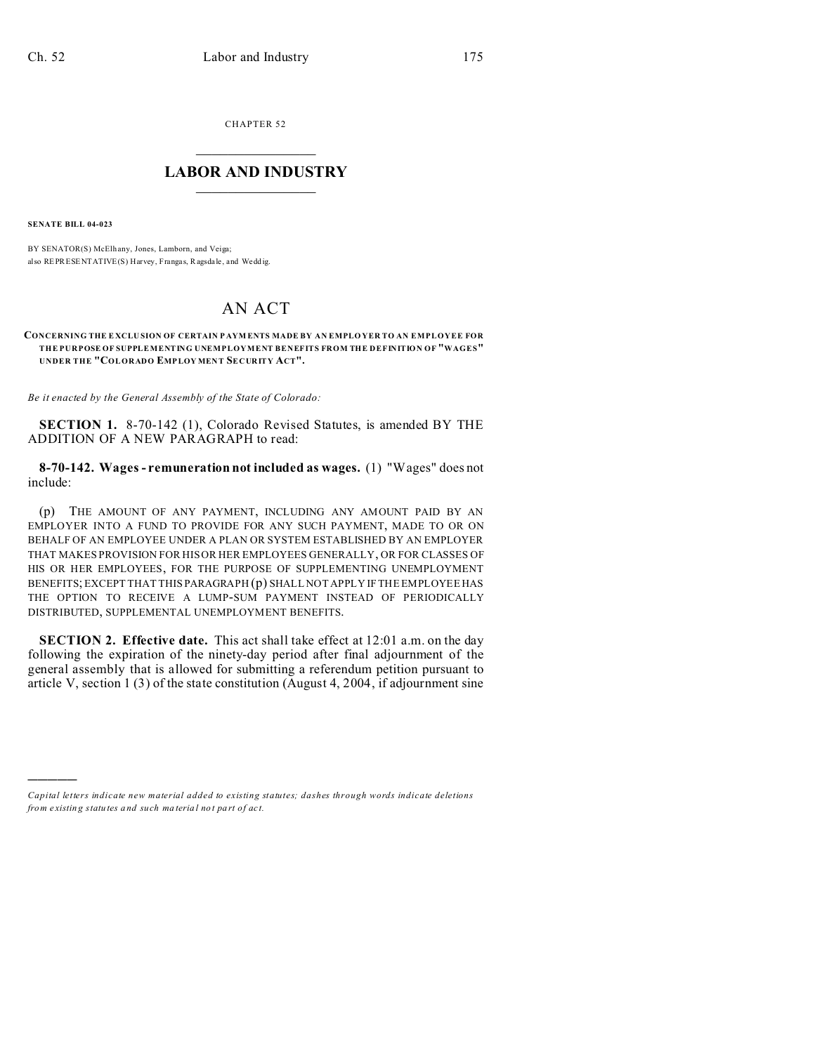CHAPTER 52  $\overline{\phantom{a}}$  , where  $\overline{\phantom{a}}$ 

## **LABOR AND INDUSTRY**  $\frac{1}{\sqrt{2}}$  ,  $\frac{1}{\sqrt{2}}$  ,  $\frac{1}{\sqrt{2}}$  ,  $\frac{1}{\sqrt{2}}$  ,  $\frac{1}{\sqrt{2}}$  ,  $\frac{1}{\sqrt{2}}$

**SENATE BILL 04-023**

)))))

BY SENATOR(S) McElh any, Jones, Lamborn, and Veiga; also REPRESENTATIVE(S) Harvey, Franga s, Ragsda le, and Wedd ig.

## AN ACT

## **CONCERNING THE E XCLU SION OF CERTAIN P AYM ENTS MADE BY AN EMPLO YER TO AN EMPLOYEE FOR THE PURPOSE OF SUPPLEMENTING UNEMPLOYMENT BENEFITS FROM THE DEFINITION OF "WAGES" UNDER THE "COLORADO EMPLOY MENT SECURITY ACT".**

*Be it enacted by the General Assembly of the State of Colorado:*

**SECTION 1.** 8-70-142 (1), Colorado Revised Statutes, is amended BY THE ADDITION OF A NEW PARAGRAPH to read:

**8-70-142. Wages - remuneration not included as wages.** (1) "Wages" does not include:

(p) THE AMOUNT OF ANY PAYMENT, INCLUDING ANY AMOUNT PAID BY AN EMPLOYER INTO A FUND TO PROVIDE FOR ANY SUCH PAYMENT, MADE TO OR ON BEHALF OF AN EMPLOYEE UNDER A PLAN OR SYSTEM ESTABLISHED BY AN EMPLOYER THAT MAKES PROVISION FOR HIS OR HER EMPLOYEES GENERALLY, OR FOR CLASSES OF HIS OR HER EMPLOYEES, FOR THE PURPOSE OF SUPPLEMENTING UNEMPLOYMENT BENEFITS; EXCEPT THAT THIS PARAGRAPH (p) SHALL NOT APPLY IF THE EMPLOYEE HAS THE OPTION TO RECEIVE A LUMP-SUM PAYMENT INSTEAD OF PERIODICALLY DISTRIBUTED, SUPPLEMENTAL UNEMPLOYMENT BENEFITS.

**SECTION 2. Effective date.** This act shall take effect at 12:01 a.m. on the day following the expiration of the ninety-day period after final adjournment of the general assembly that is allowed for submitting a referendum petition pursuant to article V, section 1 (3) of the state constitution (August 4, 2004, if adjournment sine

*Capital letters indicate new material added to existing statutes; dashes through words indicate deletions from e xistin g statu tes a nd such ma teria l no t pa rt of ac t.*